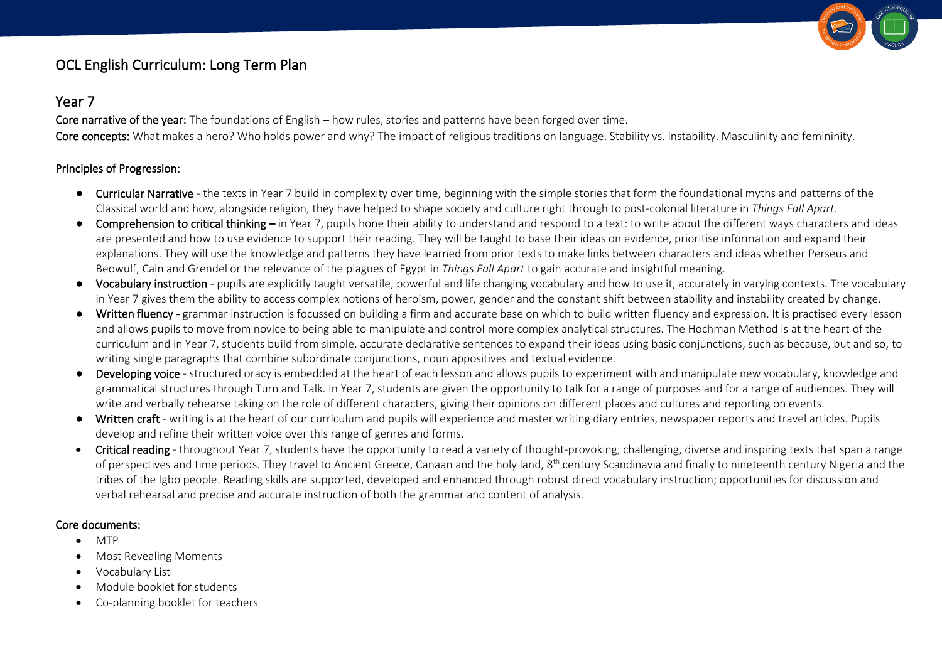

## OCL English Curriculum: Long Term Plan

## Year 7

Core narrative of the year: The foundations of English – how rules, stories and patterns have been forged over time. Core concepts: What makes a hero? Who holds power and why? The impact of religious traditions on language. Stability vs. instability. Masculinity and femininity.

## Principles of Progression:

- Curricular Narrative the texts in Year 7 build in complexity over time, beginning with the simple stories that form the foundational myths and patterns of the Classical world and how, alongside religion, they have helped to shape society and culture right through to post-colonial literature in *Things Fall Apart*.
- Comprehension to critical thinking in Year 7, pupils hone their ability to understand and respond to a text: to write about the different ways characters and ideas are presented and how to use evidence to support their reading. They will be taught to base their ideas on evidence, prioritise information and expand their explanations. They will use the knowledge and patterns they have learned from prior texts to make links between characters and ideas whether Perseus and Beowulf, Cain and Grendel or the relevance of the plagues of Egypt in *Things Fall Apart* to gain accurate and insightful meaning.
- Vocabulary instruction pupils are explicitly taught versatile, powerful and life changing vocabulary and how to use it, accurately in varying contexts. The vocabulary in Year 7 gives them the ability to access complex notions of heroism, power, gender and the constant shift between stability and instability created by change.
- Written fluency grammar instruction is focussed on building a firm and accurate base on which to build written fluency and expression. It is practised every lesson and allows pupils to move from novice to being able to manipulate and control more complex analytical structures. The Hochman Method is at the heart of the curriculum and in Year 7, students build from simple, accurate declarative sentences to expand their ideas using basic conjunctions, such as because, but and so, to writing single paragraphs that combine subordinate conjunctions, noun appositives and textual evidence.
- Developing voice structured oracy is embedded at the heart of each lesson and allows pupils to experiment with and manipulate new vocabulary, knowledge and grammatical structures through Turn and Talk. In Year 7, students are given the opportunity to talk for a range of purposes and for a range of audiences. They will write and verbally rehearse taking on the role of different characters, giving their opinions on different places and cultures and reporting on events.
- Written craft writing is at the heart of our curriculum and pupils will experience and master writing diary entries, newspaper reports and travel articles. Pupils develop and refine their written voice over this range of genres and forms.
- Critical reading throughout Year 7, students have the opportunity to read a variety of thought-provoking, challenging, diverse and inspiring texts that span a range of perspectives and time periods. They travel to Ancient Greece, Canaan and the holy land,  $8<sup>th</sup>$  century Scandinavia and finally to nineteenth century Nigeria and the tribes of the Igbo people. Reading skills are supported, developed and enhanced through robust direct vocabulary instruction; opportunities for discussion and verbal rehearsal and precise and accurate instruction of both the grammar and content of analysis.

## Core documents:

- MTP
- Most Revealing Moments
- Vocabulary List
- Module booklet for students
- Co-planning booklet for teachers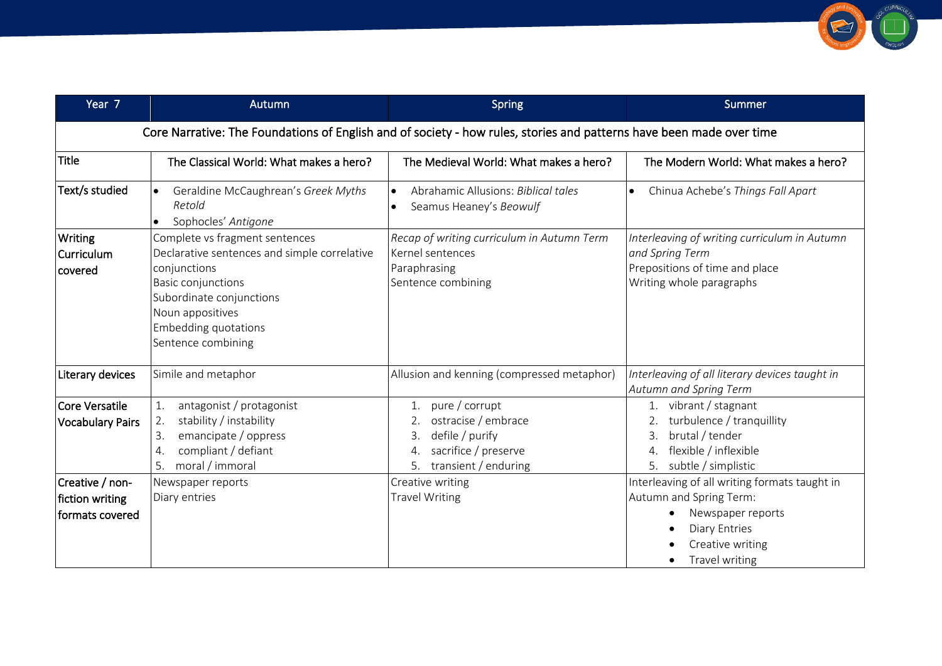

| Year 7                                                                                                               | Autumn                                                                                                                                                                                                                    | Spring                                                                                                                                 | Summer                                                                                                                                                      |  |  |  |
|----------------------------------------------------------------------------------------------------------------------|---------------------------------------------------------------------------------------------------------------------------------------------------------------------------------------------------------------------------|----------------------------------------------------------------------------------------------------------------------------------------|-------------------------------------------------------------------------------------------------------------------------------------------------------------|--|--|--|
| Core Narrative: The Foundations of English and of society - how rules, stories and patterns have been made over time |                                                                                                                                                                                                                           |                                                                                                                                        |                                                                                                                                                             |  |  |  |
| Title                                                                                                                | The Classical World: What makes a hero?                                                                                                                                                                                   | The Medieval World: What makes a hero?                                                                                                 | The Modern World: What makes a hero?                                                                                                                        |  |  |  |
| Text/s studied                                                                                                       | Geraldine McCaughrean's Greek Myths<br>$\bullet$<br>Retold<br>Sophocles' Antigone<br>$\bullet$                                                                                                                            | Abrahamic Allusions: Biblical tales<br>$\bullet$<br>Seamus Heaney's Beowulf<br>$\bullet$                                               | Chinua Achebe's Things Fall Apart                                                                                                                           |  |  |  |
| Writing<br><b>Curriculum</b><br>covered                                                                              | Complete vs fragment sentences<br>Declarative sentences and simple correlative<br>conjunctions<br>Basic conjunctions<br>Subordinate conjunctions<br>Noun appositives<br><b>Embedding quotations</b><br>Sentence combining | Recap of writing curriculum in Autumn Term<br>Kernel sentences<br>Paraphrasing<br>Sentence combining                                   | Interleaving of writing curriculum in Autumn<br>and Spring Term<br>Prepositions of time and place<br>Writing whole paragraphs                               |  |  |  |
| Literary devices                                                                                                     | Simile and metaphor                                                                                                                                                                                                       | Allusion and kenning (compressed metaphor)                                                                                             | Interleaving of all literary devices taught in<br>Autumn and Spring Term                                                                                    |  |  |  |
| Core Versatile<br><b>Vocabulary Pairs</b>                                                                            | antagonist / protagonist<br>1.<br>stability / instability<br>2.<br>emancipate / oppress<br>3.<br>compliant / defiant<br>4.<br>5.<br>moral / immoral                                                                       | pure / corrupt<br>1.<br>ostracise / embrace<br>2.<br>defile / purify<br>3.<br>sacrifice / preserve<br>4.<br>transient / enduring<br>5. | 1. vibrant / stagnant<br>turbulence / tranquillity<br>2.<br>brutal / tender<br>3.<br>flexible / inflexible<br>4.<br>5.<br>subtle / simplistic               |  |  |  |
| Creative / non-<br>fiction writing<br>formats covered                                                                | Newspaper reports<br>Diary entries                                                                                                                                                                                        | Creative writing<br><b>Travel Writing</b>                                                                                              | Interleaving of all writing formats taught in<br>Autumn and Spring Term:<br>Newspaper reports<br><b>Diary Entries</b><br>Creative writing<br>Travel writing |  |  |  |